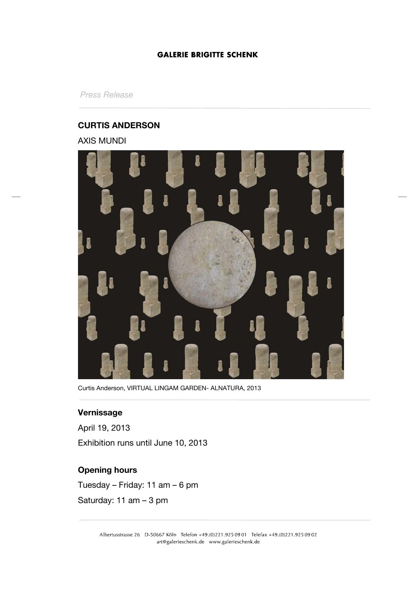*Press Release*

### **CURTIS ANDERSON**

AXIS MUNDI



Curtis Anderson, VIRTUAL LINGAM GARDEN- ALNATURA, 2013

## **Vernissage**

April 19, 2013 Exhibition runs until June 10, 2013

# **Opening hours**

Tuesday – Friday: 11 am – 6 pm Saturday: 11 am – 3 pm

> Albertusstrasse 26 D-50667 Köln Telefon +49.(0)221.925 09 01 Telefax +49.(0)221.925 09 02 art@galerieschenk.de www.galerieschenk.de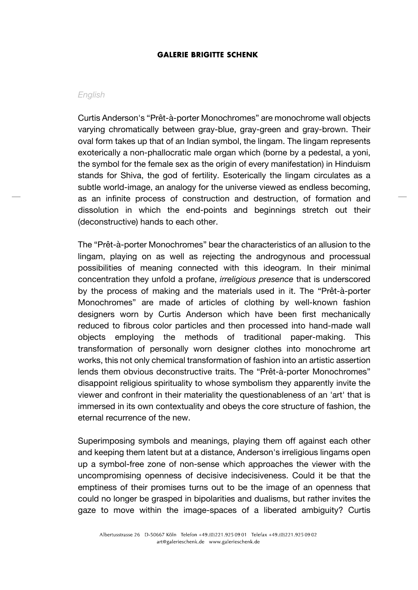#### *English*

Curtis Anderson's "Prêt-à-porter Monochromes" are monochrome wall objects varying chromatically between gray-blue, gray-green and gray-brown. Their oval form takes up that of an Indian symbol, the lingam. The lingam represents exoterically a non-phallocratic male organ which (borne by a pedestal, a yoni, the symbol for the female sex as the origin of every manifestation) in Hinduism stands for Shiva, the god of fertility. Esoterically the lingam circulates as a subtle world-image, an analogy for the universe viewed as endless becoming, as an infinite process of construction and destruction, of formation and dissolution in which the end-points and beginnings stretch out their (deconstructive) hands to each other.

The "Prêt-à-porter Monochromes" bear the characteristics of an allusion to the lingam, playing on as well as rejecting the androgynous and processual possibilities of meaning connected with this ideogram. In their minimal concentration they unfold a profane, *irreligious presence* that is underscored by the process of making and the materials used in it. The "Prêt-à-porter Monochromes" are made of articles of clothing by well-known fashion designers worn by Curtis Anderson which have been first mechanically reduced to fibrous color particles and then processed into hand-made wall objects employing the methods of traditional paper-making. This transformation of personally worn designer clothes into monochrome art works, this not only chemical transformation of fashion into an artistic assertion lends them obvious deconstructive traits. The "Prêt-à-porter Monochromes" disappoint religious spirituality to whose symbolism they apparently invite the viewer and confront in their materiality the questionableness of an 'art' that is immersed in its own contextuality and obeys the core structure of fashion, the eternal recurrence of the new.

Superimposing symbols and meanings, playing them off against each other and keeping them latent but at a distance, Anderson's irreligious lingams open up a symbol-free zone of non-sense which approaches the viewer with the uncompromising openness of decisive indecisiveness. Could it be that the emptiness of their promises turns out to be the image of an openness that could no longer be grasped in bipolarities and dualisms, but rather invites the gaze to move within the image-spaces of a liberated ambiguity? Curtis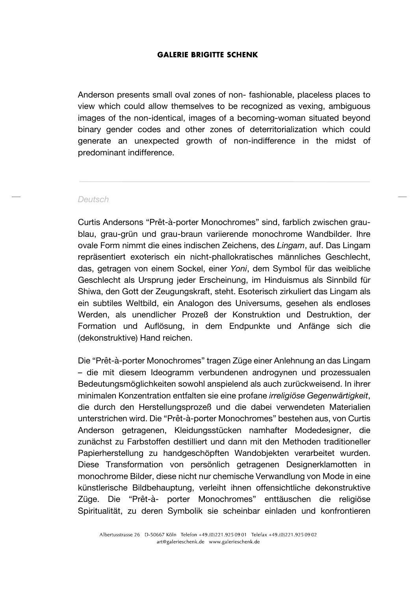Anderson presents small oval zones of non- fashionable, placeless places to view which could allow themselves to be recognized as vexing, ambiguous images of the non-identical, images of a becoming-woman situated beyond binary gender codes and other zones of deterritorialization which could generate an unexpected growth of non-indifference in the midst of predominant indifference.

#### *Deutsch*

Curtis Andersons "Prêt-à-porter Monochromes" sind, farblich zwischen graublau, grau-grün und grau-braun variierende monochrome Wandbilder. Ihre ovale Form nimmt die eines indischen Zeichens, des *Lingam*, auf. Das Lingam repräsentiert exoterisch ein nicht-phallokratisches männliches Geschlecht, das, getragen von einem Sockel, einer *Yoni*, dem Symbol für das weibliche Geschlecht als Ursprung jeder Erscheinung, im Hinduismus als Sinnbild für Shiwa, den Gott der Zeugungskraft, steht. Esoterisch zirkuliert das Lingam als ein subtiles Weltbild, ein Analogon des Universums, gesehen als endloses Werden, als unendlicher Prozeß der Konstruktion und Destruktion, der Formation und Auflösung, in dem Endpunkte und Anfänge sich die (dekonstruktive) Hand reichen.

Die "Prêt-à-porter Monochromes" tragen Züge einer Anlehnung an das Lingam – die mit diesem Ideogramm verbundenen androgynen und prozessualen Bedeutungsmöglichkeiten sowohl anspielend als auch zurückweisend. In ihrer minimalen Konzentration entfalten sie eine profane *irreligiöse Gegenwärtigkeit*, die durch den Herstellungsprozeß und die dabei verwendeten Materialien unterstrichen wird. Die "Prêt-à-porter Monochromes" bestehen aus, von Curtis Anderson getragenen, Kleidungsstücken namhafter Modedesigner, die zunächst zu Farbstoffen destilliert und dann mit den Methoden traditioneller Papierherstellung zu handgeschöpften Wandobjekten verarbeitet wurden. Diese Transformation von persönlich getragenen Designerklamotten in monochrome Bilder, diese nicht nur chemische Verwandlung von Mode in eine künstlerische Bildbehauptung, verleiht ihnen offensichtliche dekonstruktive Züge. Die "Prêt-à- porter Monochromes" enttäuschen die religiöse Spiritualität, zu deren Symbolik sie scheinbar einladen und konfrontieren